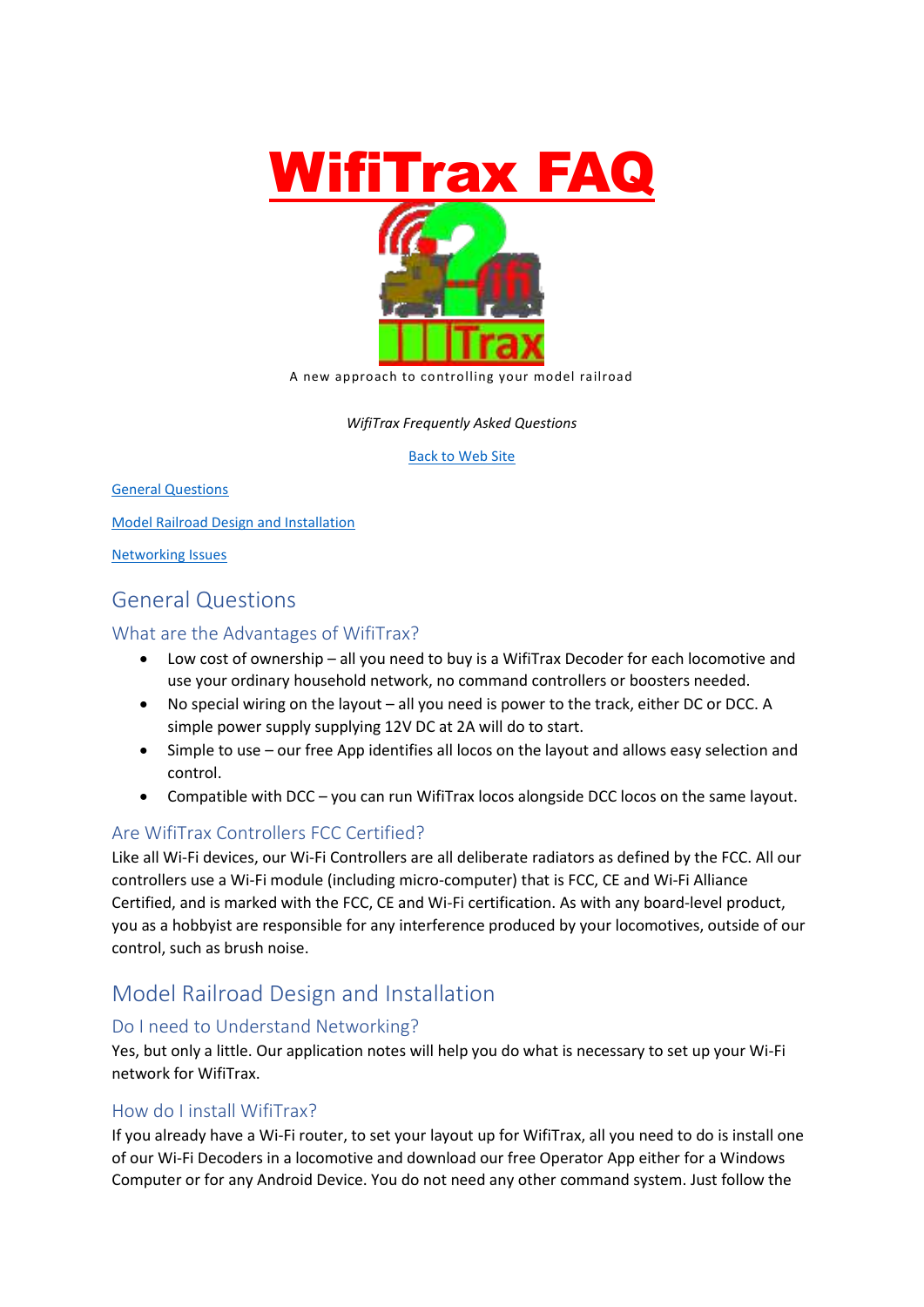

*WifiTrax Frequently Asked Questions*

[Back to Web Site](http://www.wifitrax.com/)

[General Questions](#page-0-0)

[Model Railroad Design and Installation](#page-0-1)

[Networking Issues](#page-1-0)

# <span id="page-0-0"></span>General Questions

#### What are the Advantages of WifiTrax?

- Low cost of ownership all you need to buy is a WifiTrax Decoder for each locomotive and use your ordinary household network, no command controllers or boosters needed.
- No special wiring on the layout all you need is power to the track, either DC or DCC. A simple power supply supplying 12V DC at 2A will do to start.
- Simple to use our free App identifies all locos on the layout and allows easy selection and control.
- Compatible with DCC you can run WifiTrax locos alongside DCC locos on the same layout.

## Are WifiTrax Controllers FCC Certified?

Like all Wi-Fi devices, our Wi-Fi Controllers are all deliberate radiators as defined by the FCC. All our controllers use a Wi-Fi module (including micro-computer) that is FCC, CE and Wi-Fi Alliance Certified, and is marked with the FCC, CE and Wi-Fi certification. As with any board-level product, you as a hobbyist are responsible for any interference produced by your locomotives, outside of our control, such as brush noise.

# <span id="page-0-1"></span>Model Railroad Design and Installation

### Do I need to Understand Networking?

Yes, but only a little. Our application notes will help you do what is necessary to set up your Wi-Fi network for WifiTrax.

#### How do I install WifiTrax?

If you already have a Wi-Fi router, to set your layout up for WifiTrax, all you need to do is install one of our Wi-Fi Decoders in a locomotive and download our free Operator App either for a Windows Computer or for any Android Device. You do not need any other command system. Just follow the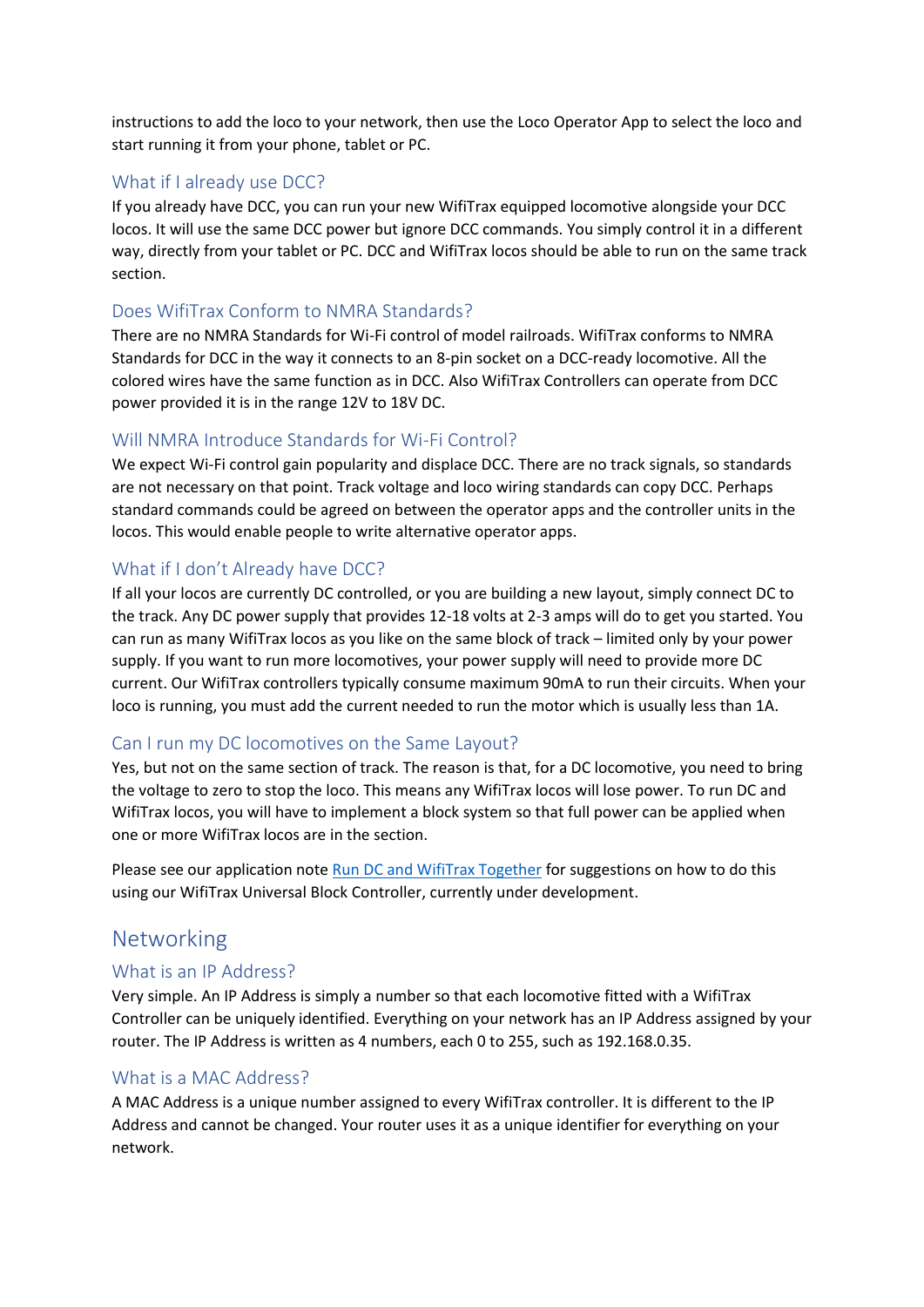instructions to add the loco to your network, then use the Loco Operator App to select the loco and start running it from your phone, tablet or PC.

#### What if I already use DCC?

If you already have DCC, you can run your new WifiTrax equipped locomotive alongside your DCC locos. It will use the same DCC power but ignore DCC commands. You simply control it in a different way, directly from your tablet or PC. DCC and WifiTrax locos should be able to run on the same track section.

#### Does WifiTrax Conform to NMRA Standards?

There are no NMRA Standards for Wi-Fi control of model railroads. WifiTrax conforms to NMRA Standards for DCC in the way it connects to an 8-pin socket on a DCC-ready locomotive. All the colored wires have the same function as in DCC. Also WifiTrax Controllers can operate from DCC power provided it is in the range 12V to 18V DC.

#### Will NMRA Introduce Standards for Wi-Fi Control?

We expect Wi-Fi control gain popularity and displace DCC. There are no track signals, so standards are not necessary on that point. Track voltage and loco wiring standards can copy DCC. Perhaps standard commands could be agreed on between the operator apps and the controller units in the locos. This would enable people to write alternative operator apps.

#### What if I don't Already have DCC?

If all your locos are currently DC controlled, or you are building a new layout, simply connect DC to the track. Any DC power supply that provides 12-18 volts at 2-3 amps will do to get you started. You can run as many WifiTrax locos as you like on the same block of track – limited only by your power supply. If you want to run more locomotives, your power supply will need to provide more DC current. Our WifiTrax controllers typically consume maximum 90mA to run their circuits. When your loco is running, you must add the current needed to run the motor which is usually less than 1A.

#### Can I run my DC locomotives on the Same Layout?

Yes, but not on the same section of track. The reason is that, for a DC locomotive, you need to bring the voltage to zero to stop the loco. This means any WifiTrax locos will lose power. To run DC and WifiTrax locos, you will have to implement a block system so that full power can be applied when one or more WifiTrax locos are in the section.

Please see our application note [Run DC and WifiTrax Together](http://www.wifitrax.com/appNotes/RunDCAndWifiTraxTogether.pdf) for suggestions on how to do this using our WifiTrax Universal Block Controller, currently under development.

## <span id="page-1-0"></span>Networking

#### What is an IP Address?

Very simple. An IP Address is simply a number so that each locomotive fitted with a WifiTrax Controller can be uniquely identified. Everything on your network has an IP Address assigned by your router. The IP Address is written as 4 numbers, each 0 to 255, such as 192.168.0.35.

#### What is a MAC Address?

A MAC Address is a unique number assigned to every WifiTrax controller. It is different to the IP Address and cannot be changed. Your router uses it as a unique identifier for everything on your network.